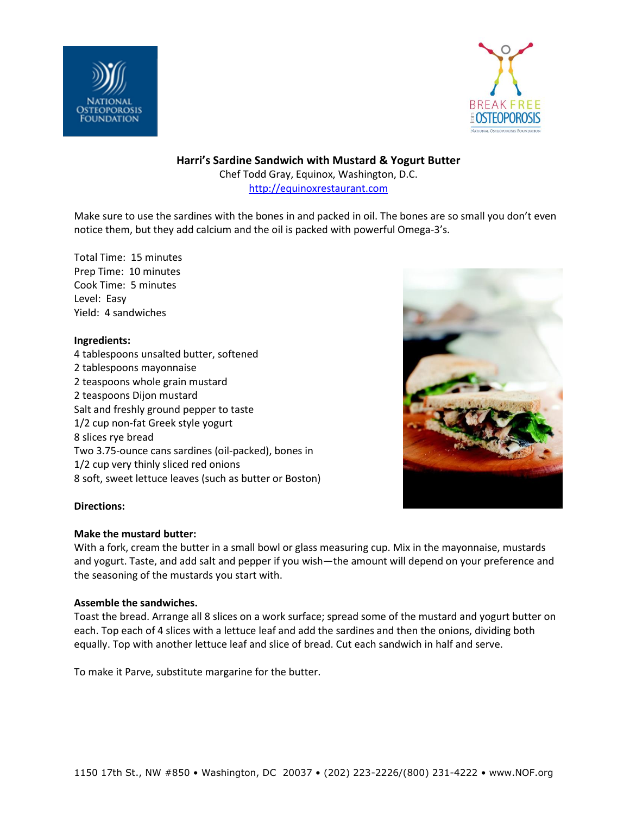



**Harri's Sardine Sandwich with Mustard & Yogurt Butter**

Chef Todd Gray, Equinox, Washington, D.C. [http://equinoxrestaurant.com](http://equinoxrestaurant.com/)

Make sure to use the sardines with the bones in and packed in oil. The bones are so small you don't even notice them, but they add calcium and the oil is packed with powerful Omega-3's.

Total Time: 15 minutes Prep Time: 10 minutes Cook Time: 5 minutes Level: Easy Yield: 4 sandwiches

### **Ingredients:**

4 tablespoons unsalted butter, softened 2 tablespoons mayonnaise 2 teaspoons whole grain mustard 2 teaspoons Dijon mustard Salt and freshly ground pepper to taste 1/2 cup non-fat Greek style yogurt 8 slices rye bread Two 3.75-ounce cans sardines (oil-packed), bones in 1/2 cup very thinly sliced red onions 8 soft, sweet lettuce leaves (such as butter or Boston)



# **Directions:**

#### **Make the mustard butter:**

With a fork, cream the butter in a small bowl or glass measuring cup. Mix in the mayonnaise, mustards and yogurt. Taste, and add salt and pepper if you wish—the amount will depend on your preference and the seasoning of the mustards you start with.

#### **Assemble the sandwiches.**

Toast the bread. Arrange all 8 slices on a work surface; spread some of the mustard and yogurt butter on each. Top each of 4 slices with a lettuce leaf and add the sardines and then the onions, dividing both equally. Top with another lettuce leaf and slice of bread. Cut each sandwich in half and serve.

To make it Parve, substitute margarine for the butter.